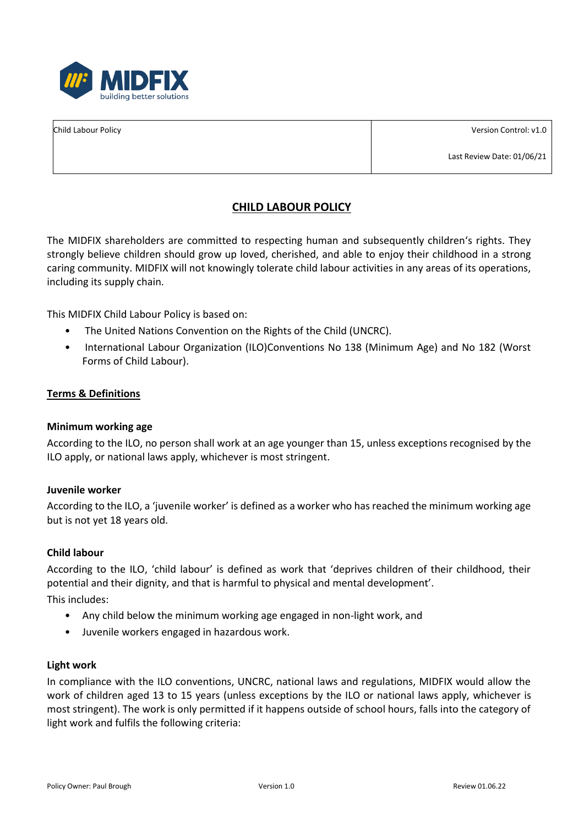

Child Labour Policy

Version Control: v1.0

Last Review Date: 01/06/21

# **CHILD LABOUR POLICY**

The MIDFIX shareholders are committed to respecting human and subsequently children's rights. They strongly believe children should grow up loved, cherished, and able to enjoy their childhood in a strong caring community. MIDFIX will not knowingly tolerate child labour activities in any areas of its operations, including its supply chain.

This MIDFIX Child Labour Policy is based on:

- The United Nations Convention on the Rights of the Child (UNCRC).
- International Labour Organization (ILO)Conventions No 138 (Minimum Age) and No 182 (Worst Forms of Child Labour).

## **Terms & Definitions**

### **Minimum working age**

According to the ILO, no person shall work at an age younger than 15, unless exceptions recognised by the ILO apply, or national laws apply, whichever is most stringent.

### **Juvenile worker**

According to the ILO, a 'juvenile worker' is defined as a worker who has reached the minimum working age but is not yet 18 years old.

### **Child labour**

According to the ILO, 'child labour' is defined as work that 'deprives children of their childhood, their potential and their dignity, and that is harmful to physical and mental development'.

This includes:

- Any child below the minimum working age engaged in non-light work, and
- Juvenile workers engaged in hazardous work.

### **Light work**

In compliance with the ILO conventions, UNCRC, national laws and regulations, MIDFIX would allow the work of children aged 13 to 15 years (unless exceptions by the ILO or national laws apply, whichever is most stringent). The work is only permitted if it happens outside of school hours, falls into the category of light work and fulfils the following criteria: